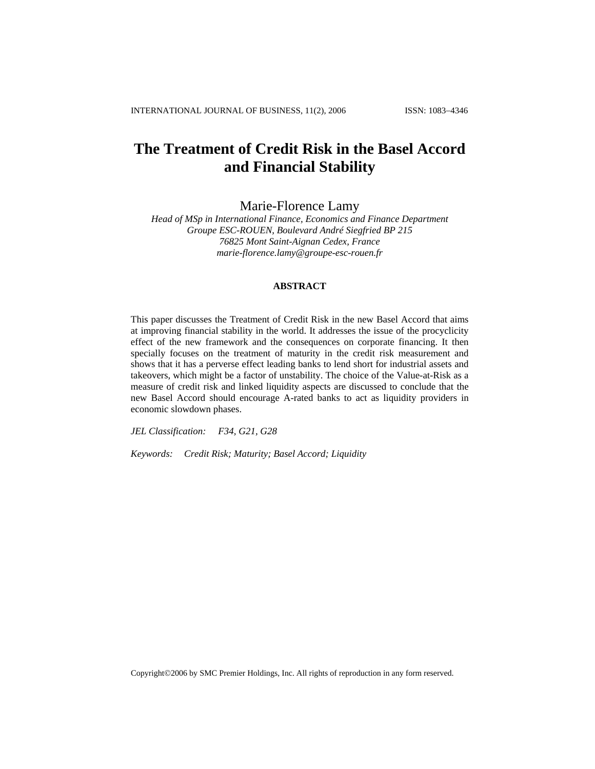# **The Treatment of Credit Risk in the Basel Accord and Financial Stability**

Marie-Florence Lamy

*Head of MSp in International Finance, Economics and Finance Department Groupe ESC-ROUEN, Boulevard André Siegfried BP 215 76825 Mont Saint-Aignan Cedex, France marie-florence.lamy@groupe-esc-rouen.fr*

#### **ABSTRACT**

This paper discusses the Treatment of Credit Risk in the new Basel Accord that aims at improving financial stability in the world. It addresses the issue of the procyclicity effect of the new framework and the consequences on corporate financing. It then specially focuses on the treatment of maturity in the credit risk measurement and shows that it has a perverse effect leading banks to lend short for industrial assets and takeovers, which might be a factor of unstability. The choice of the Value-at-Risk as a measure of credit risk and linked liquidity aspects are discussed to conclude that the new Basel Accord should encourage A-rated banks to act as liquidity providers in economic slowdown phases.

*JEL Classification: F34, G21, G28* 

*Keywords: Credit Risk; Maturity; Basel Accord; Liquidity* 

Copyright©2006 by SMC Premier Holdings, Inc. All rights of reproduction in any form reserved.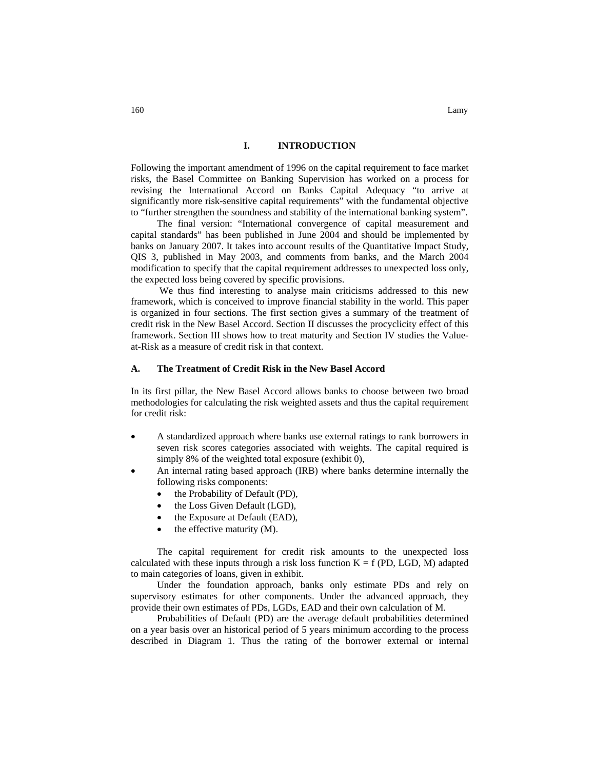#### **I. INTRODUCTION**

Following the important amendment of 1996 on the capital requirement to face market risks, the Basel Committee on Banking Supervision has worked on a process for revising the International Accord on Banks Capital Adequacy "to arrive at significantly more risk-sensitive capital requirements" with the fundamental objective to "further strengthen the soundness and stability of the international banking system".

The final version: "International convergence of capital measurement and capital standards" has been published in June 2004 and should be implemented by banks on January 2007. It takes into account results of the Quantitative Impact Study, QIS 3, published in May 2003, and comments from banks, and the March 2004 modification to specify that the capital requirement addresses to unexpected loss only, the expected loss being covered by specific provisions.

We thus find interesting to analyse main criticisms addressed to this new framework, which is conceived to improve financial stability in the world. This paper is organized in four sections. The first section gives a summary of the treatment of credit risk in the New Basel Accord. Section II discusses the procyclicity effect of this framework. Section III shows how to treat maturity and Section IV studies the Valueat-Risk as a measure of credit risk in that context.

#### **A. The Treatment of Credit Risk in the New Basel Accord**

In its first pillar, the New Basel Accord allows banks to choose between two broad methodologies for calculating the risk weighted assets and thus the capital requirement for credit risk:

- A standardized approach where banks use external ratings to rank borrowers in seven risk scores categories associated with weights. The capital required is simply 8% of the weighted total exposure (exhibit 0),
- An internal rating based approach (IRB) where banks determine internally the following risks components:
	- the Probability of Default (PD),
	- the Loss Given Default (LGD),
	- the Exposure at Default (EAD),
	- the effective maturity (M).

The capital requirement for credit risk amounts to the unexpected loss calculated with these inputs through a risk loss function  $K = f$  (PD, LGD, M) adapted to main categories of loans, given in exhibit.

Under the foundation approach, banks only estimate PDs and rely on supervisory estimates for other components. Under the advanced approach, they provide their own estimates of PDs, LGDs, EAD and their own calculation of M.

Probabilities of Default (PD) are the average default probabilities determined on a year basis over an historical period of 5 years minimum according to the process described in Diagram 1. Thus the rating of the borrower external or internal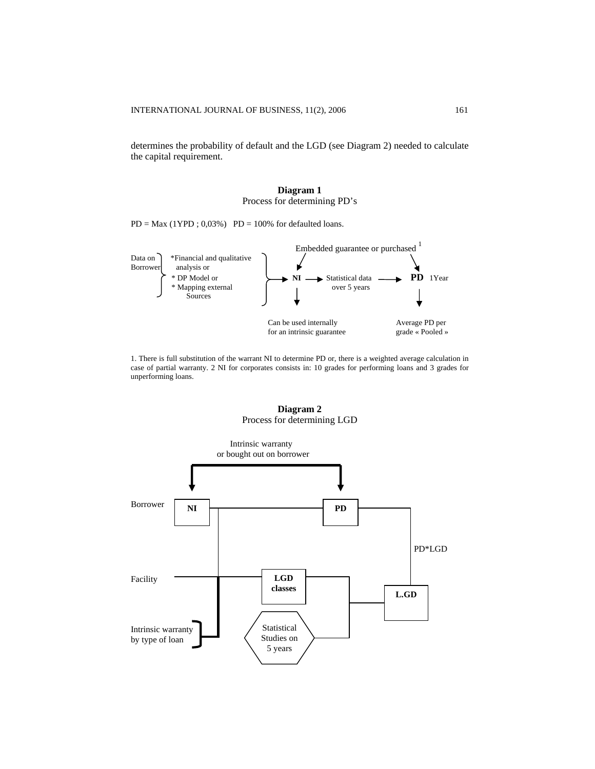determines the probability of default and the LGD (see Diagram 2) needed to calculate the capital requirement.

# **Diagram 1**  Process for determining PD's

 $PD = Max (1YPD; 0.03%) PD = 100% for detailed loans.$ 



1. There is full substitution of the warrant NI to determine PD or, there is a weighted average calculation in case of partial warranty. 2 NI for corporates consists in: 10 grades for performing loans and 3 grades for unperforming loans.



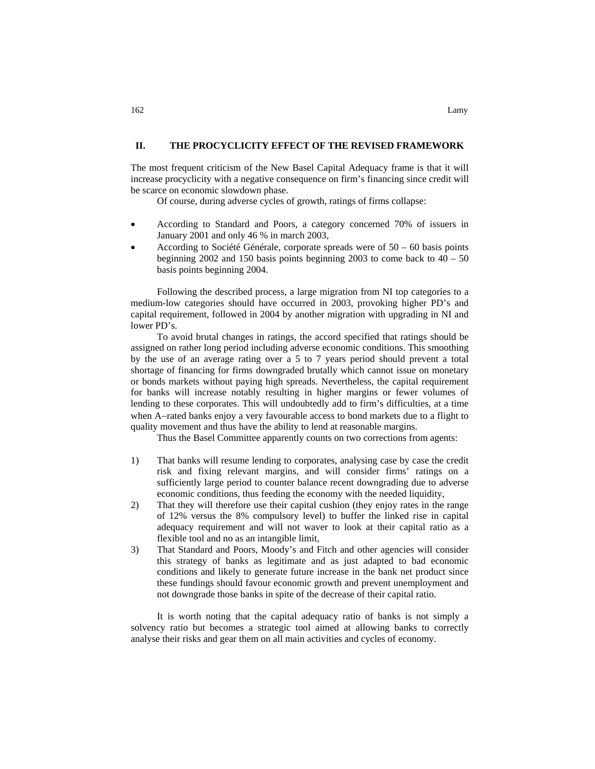# **II. THE PROCYCLICITY EFFECT OF THE REVISED FRAMEWORK**

The most frequent criticism of the New Basel Capital Adequacy frame is that it will increase procyclicity with a negative consequence on firm's financing since credit will be scarce on economic slowdown phase.

Of course, during adverse cycles of growth, ratings of firms collapse:

- According to Standard and Poors, a category concerned 70% of issuers in January 2001 and only 46 % in march 2003,
- According to Société Générale, corporate spreads were of  $50 60$  basis points beginning 2002 and 150 basis points beginning 2003 to come back to  $40 - 50$ basis points beginning 2004.

Following the described process, a large migration from NI top categories to a medium-low categories should have occurred in 2003, provoking higher PD's and capital requirement, followed in 2004 by another migration with upgrading in NI and lower PD's.

To avoid brutal changes in ratings, the accord specified that ratings should be assigned on rather long period including adverse economic conditions. This smoothing by the use of an average rating over a 5 to 7 years period should prevent a total shortage of financing for firms downgraded brutally which cannot issue on monetary or bonds markets without paying high spreads. Nevertheless, the capital requirement for banks will increase notably resulting in higher margins or fewer volumes of lending to these corporates. This will undoubtedly add to firm's difficulties, at a time when A−rated banks enjoy a very favourable access to bond markets due to a flight to quality movement and thus have the ability to lend at reasonable margins.

Thus the Basel Committee apparently counts on two corrections from agents:

- 1) That banks will resume lending to corporates, analysing case by case the credit risk and fixing relevant margins, and will consider firms' ratings on a sufficiently large period to counter balance recent downgrading due to adverse economic conditions, thus feeding the economy with the needed liquidity,
- 2) That they will therefore use their capital cushion (they enjoy rates in the range of 12% versus the 8% compulsory level) to buffer the linked rise in capital adequacy requirement and will not waver to look at their capital ratio as a flexible tool and no as an intangible limit,
- 3) That Standard and Poors, Moody's and Fitch and other agencies will consider this strategy of banks as legitimate and as just adapted to bad economic conditions and likely to generate future increase in the bank net product since these fundings should favour economic growth and prevent unemployment and not downgrade those banks in spite of the decrease of their capital ratio.

It is worth noting that the capital adequacy ratio of banks is not simply a solvency ratio but becomes a strategic tool aimed at allowing banks to correctly analyse their risks and gear them on all main activities and cycles of economy.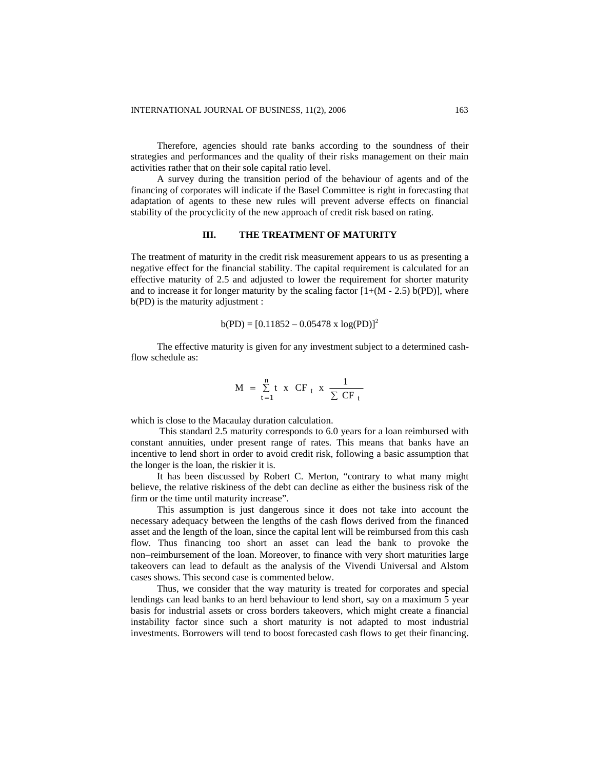Therefore, agencies should rate banks according to the soundness of their strategies and performances and the quality of their risks management on their main activities rather that on their sole capital ratio level.

A survey during the transition period of the behaviour of agents and of the financing of corporates will indicate if the Basel Committee is right in forecasting that adaptation of agents to these new rules will prevent adverse effects on financial stability of the procyclicity of the new approach of credit risk based on rating.

### **III. THE TREATMENT OF MATURITY**

The treatment of maturity in the credit risk measurement appears to us as presenting a negative effect for the financial stability. The capital requirement is calculated for an effective maturity of 2.5 and adjusted to lower the requirement for shorter maturity and to increase it for longer maturity by the scaling factor  $[1+(M - 2.5) b(PD)]$ , where b(PD) is the maturity adjustment :

$$
b(PD) = [0.11852 - 0.05478 \times \log(PD)]^{2}
$$

The effective maturity is given for any investment subject to a determined cashflow schedule as:

$$
M = \sum_{t=1}^{n} t \times CF_t \times \frac{1}{\sum CF_t}
$$

which is close to the Macaulay duration calculation.

This standard 2.5 maturity corresponds to 6.0 years for a loan reimbursed with constant annuities, under present range of rates. This means that banks have an incentive to lend short in order to avoid credit risk, following a basic assumption that the longer is the loan, the riskier it is.

It has been discussed by Robert C. Merton, "contrary to what many might believe, the relative riskiness of the debt can decline as either the business risk of the firm or the time until maturity increase".

This assumption is just dangerous since it does not take into account the necessary adequacy between the lengths of the cash flows derived from the financed asset and the length of the loan, since the capital lent will be reimbursed from this cash flow. Thus financing too short an asset can lead the bank to provoke the non−reimbursement of the loan. Moreover, to finance with very short maturities large takeovers can lead to default as the analysis of the Vivendi Universal and Alstom cases shows. This second case is commented below.

Thus, we consider that the way maturity is treated for corporates and special lendings can lead banks to an herd behaviour to lend short, say on a maximum 5 year basis for industrial assets or cross borders takeovers, which might create a financial instability factor since such a short maturity is not adapted to most industrial investments. Borrowers will tend to boost forecasted cash flows to get their financing.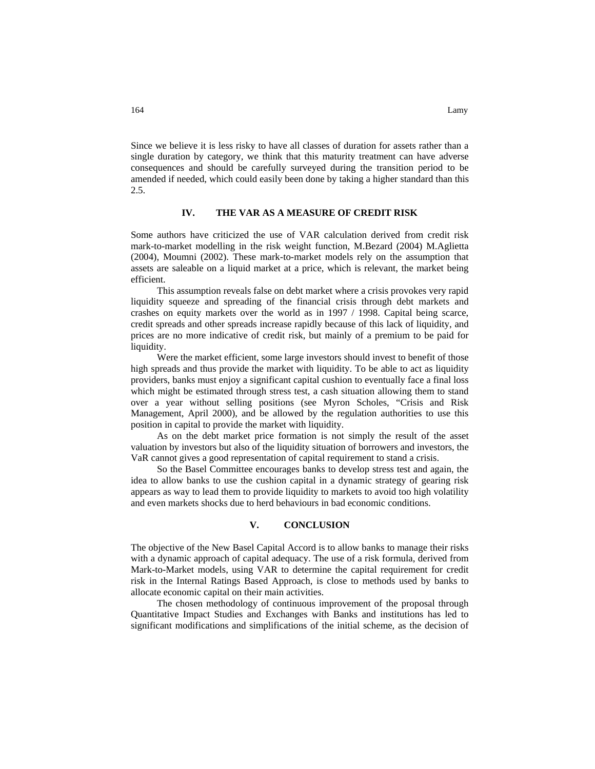Since we believe it is less risky to have all classes of duration for assets rather than a single duration by category, we think that this maturity treatment can have adverse consequences and should be carefully surveyed during the transition period to be amended if needed, which could easily been done by taking a higher standard than this 2.5.

#### **IV. THE VAR AS A MEASURE OF CREDIT RISK**

Some authors have criticized the use of VAR calculation derived from credit risk mark-to-market modelling in the risk weight function, M.Bezard (2004) M.Aglietta (2004), Moumni (2002). These mark-to-market models rely on the assumption that assets are saleable on a liquid market at a price, which is relevant, the market being efficient.

This assumption reveals false on debt market where a crisis provokes very rapid liquidity squeeze and spreading of the financial crisis through debt markets and crashes on equity markets over the world as in 1997 / 1998. Capital being scarce, credit spreads and other spreads increase rapidly because of this lack of liquidity, and prices are no more indicative of credit risk, but mainly of a premium to be paid for liquidity.

Were the market efficient, some large investors should invest to benefit of those high spreads and thus provide the market with liquidity. To be able to act as liquidity providers, banks must enjoy a significant capital cushion to eventually face a final loss which might be estimated through stress test, a cash situation allowing them to stand over a year without selling positions (see Myron Scholes, "Crisis and Risk Management, April 2000), and be allowed by the regulation authorities to use this position in capital to provide the market with liquidity.

As on the debt market price formation is not simply the result of the asset valuation by investors but also of the liquidity situation of borrowers and investors, the VaR cannot gives a good representation of capital requirement to stand a crisis.

So the Basel Committee encourages banks to develop stress test and again, the idea to allow banks to use the cushion capital in a dynamic strategy of gearing risk appears as way to lead them to provide liquidity to markets to avoid too high volatility and even markets shocks due to herd behaviours in bad economic conditions.

#### **V. CONCLUSION**

The objective of the New Basel Capital Accord is to allow banks to manage their risks with a dynamic approach of capital adequacy. The use of a risk formula, derived from Mark-to-Market models, using VAR to determine the capital requirement for credit risk in the Internal Ratings Based Approach, is close to methods used by banks to allocate economic capital on their main activities.

The chosen methodology of continuous improvement of the proposal through Quantitative Impact Studies and Exchanges with Banks and institutions has led to significant modifications and simplifications of the initial scheme, as the decision of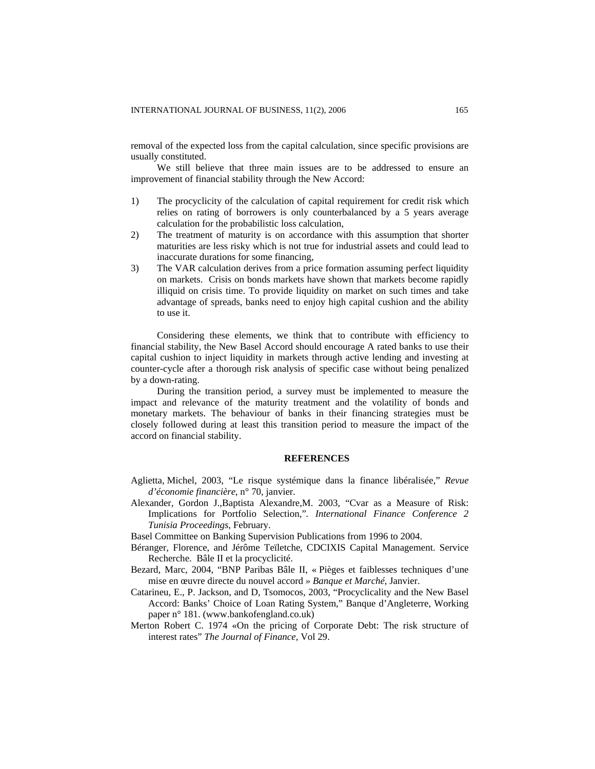removal of the expected loss from the capital calculation, since specific provisions are usually constituted.

We still believe that three main issues are to be addressed to ensure an improvement of financial stability through the New Accord:

- 1) The procyclicity of the calculation of capital requirement for credit risk which relies on rating of borrowers is only counterbalanced by a 5 years average calculation for the probabilistic loss calculation,
- 2) The treatment of maturity is on accordance with this assumption that shorter maturities are less risky which is not true for industrial assets and could lead to inaccurate durations for some financing,
- 3) The VAR calculation derives from a price formation assuming perfect liquidity on markets. Crisis on bonds markets have shown that markets become rapidly illiquid on crisis time. To provide liquidity on market on such times and take advantage of spreads, banks need to enjoy high capital cushion and the ability to use it.

Considering these elements, we think that to contribute with efficiency to financial stability, the New Basel Accord should encourage A rated banks to use their capital cushion to inject liquidity in markets through active lending and investing at counter-cycle after a thorough risk analysis of specific case without being penalized by a down-rating.

During the transition period, a survey must be implemented to measure the impact and relevance of the maturity treatment and the volatility of bonds and monetary markets. The behaviour of banks in their financing strategies must be closely followed during at least this transition period to measure the impact of the accord on financial stability.

#### **REFERENCES**

- Aglietta, Michel, 2003, "Le risque systémique dans la finance libéralisée," *Revue d'économie financière*, n° 70, janvier.
- Alexander, Gordon J.,Baptista Alexandre,M. 2003, "Cvar as a Measure of Risk: Implications for Portfolio Selection,"*. International Finance Conference 2 Tunisia Proceedings*, February.

Basel Committee on Banking Supervision Publications from 1996 to 2004.

- Béranger, Florence, and Jérôme Teïletche, CDCIXIS Capital Management. Service Recherche. Bâle II et la procyclicité.
- Bezard, Marc, 2004, "BNP Paribas Bâle II, « Pièges et faiblesses techniques d'une mise en œuvre directe du nouvel accord *» Banque et Marché*, Janvier.
- Catarineu, E., P. Jackson, and D, Tsomocos, 2003, "Procyclicality and the New Basel Accord: Banks' Choice of Loan Rating System," Banque d'Angleterre, Working paper n° 181. [\(www.bankofengland.co.uk](http://www.bankofengland.co.uk/))
- Merton Robert C. 1974 «On the pricing of Corporate Debt: The risk structure of interest rates" *The Journal of Finance*, Vol 29.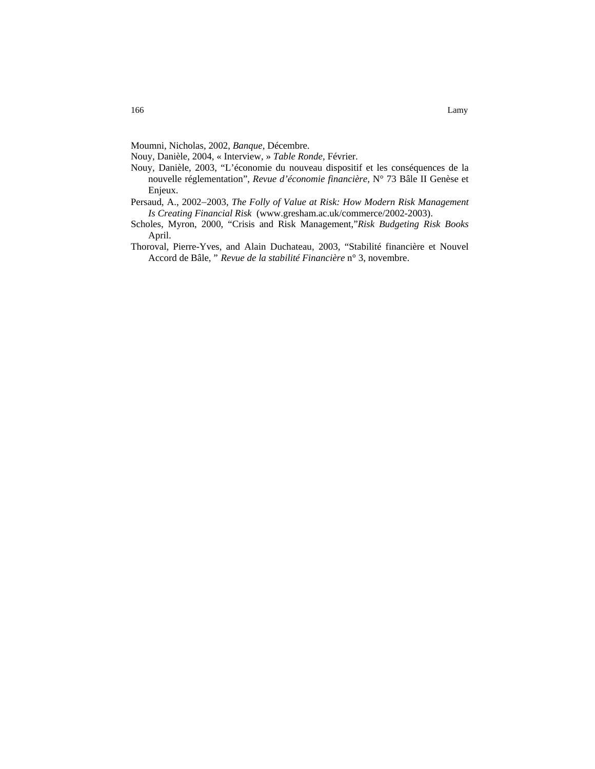Moumni, Nicholas, 2002, *Banque*, Décembre.

Nouy, Danièle, 2004, « Interview, » *Table Ronde*, Février.

- Nouy, Danièle, 2003, "L'économie du nouveau dispositif et les conséquences de la nouvelle réglementation", *Revue d'économie financière,* N° 73 Bâle II Genèse et Enjeux.
- Persaud, A., 2002−2003, *The Folly of Value at Risk: How Modern Risk Management Is Creating Financial Risk* (www.gresham.ac.uk/commerce/2002-2003).
- Scholes, Myron, 2000, "Crisis and Risk Management,"*Risk Budgeting Risk Books* April.
- Thoroval, Pierre-Yves, and Alain Duchateau, 2003, "Stabilité financière et Nouvel Accord de Bâle, " *Revue de la stabilité Financière* n° 3, novembre.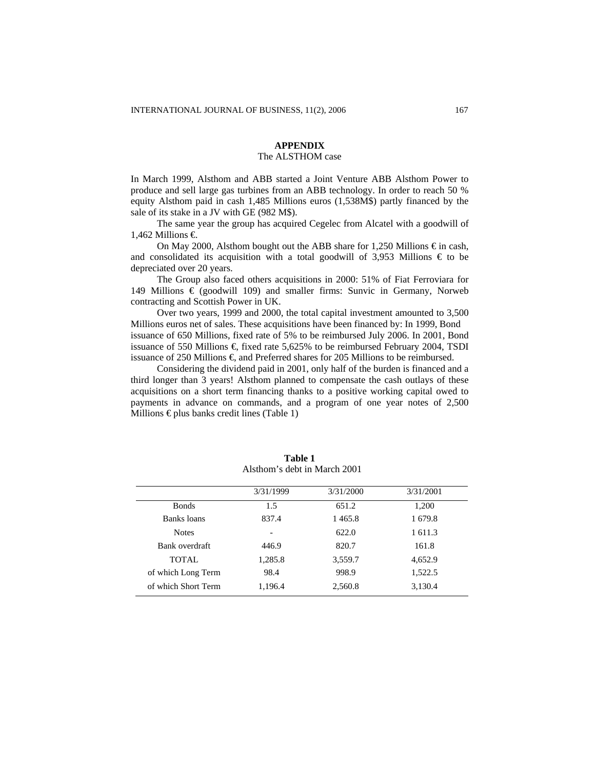# **APPENDIX**

# The ALSTHOM case

In March 1999, Alsthom and ABB started a Joint Venture ABB Alsthom Power to produce and sell large gas turbines from an ABB technology. In order to reach 50 % equity Alsthom paid in cash 1,485 Millions euros (1,538M\$) partly financed by the sale of its stake in a JV with GE (982 M\$).

The same year the group has acquired Cegelec from Alcatel with a goodwill of 1,462 Millions €.

On May 2000, Alsthom bought out the ABB share for 1,250 Millions  $\epsilon$  in cash, and consolidated its acquisition with a total goodwill of 3,953 Millions  $\epsilon$  to be depreciated over 20 years.

The Group also faced others acquisitions in 2000: 51% of Fiat Ferroviara for 149 Millions  $\epsilon$  (goodwill 109) and smaller firms: Sunvic in Germany, Norweb contracting and Scottish Power in UK.

Over two years, 1999 and 2000, the total capital investment amounted to 3,500 Millions euros net of sales. These acquisitions have been financed by: In 1999, Bond issuance of 650 Millions, fixed rate of 5% to be reimbursed July 2006. In 2001, Bond issuance of 550 Millions €, fixed rate 5,625% to be reimbursed February 2004, TSDI issuance of 250 Millions €, and Preferred shares for 205 Millions to be reimbursed.

Considering the dividend paid in 2001, only half of the burden is financed and a third longer than 3 years! Alsthom planned to compensate the cash outlays of these acquisitions on a short term financing thanks to a positive working capital owed to payments in advance on commands, and a program of one year notes of 2,500 Millions  $\epsilon$  plus banks credit lines (Table 1)

|                     | 3/31/1999 | 3/31/2000 | 3/31/2001 |
|---------------------|-----------|-----------|-----------|
| <b>Bonds</b>        | 1.5       | 651.2     | 1,200     |
| Banks loans         | 837.4     | 1465.8    | 1 679.8   |
| <b>Notes</b>        |           | 622.0     | 1 611.3   |
| Bank overdraft      | 446.9     | 820.7     | 161.8     |
| TOTAL               | 1,285.8   | 3,559.7   | 4,652.9   |
| of which Long Term  | 98.4      | 998.9     | 1,522.5   |
| of which Short Term | 1,196.4   | 2,560.8   | 3,130.4   |

**Table 1** Alsthom's debt in March 2001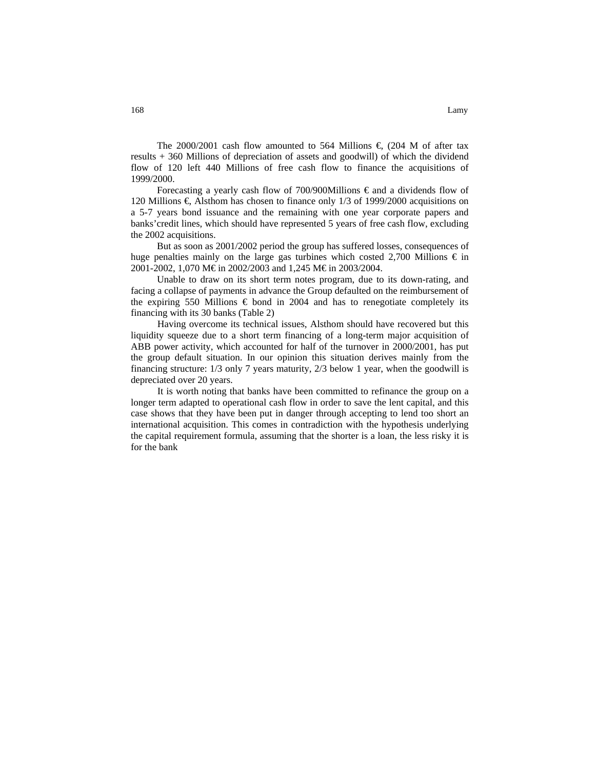The 2000/2001 cash flow amounted to 564 Millions  $\epsilon$  (204 M of after tax results + 360 Millions of depreciation of assets and goodwill) of which the dividend flow of 120 left 440 Millions of free cash flow to finance the acquisitions of 1999/2000.

Forecasting a yearly cash flow of 700/900Millions  $\epsilon$  and a dividends flow of 120 Millions €, Alsthom has chosen to finance only 1/3 of 1999/2000 acquisitions on a 5-7 years bond issuance and the remaining with one year corporate papers and banks'credit lines, which should have represented 5 years of free cash flow, excluding the 2002 acquisitions.

But as soon as 2001/2002 period the group has suffered losses, consequences of huge penalties mainly on the large gas turbines which costed 2,700 Millions  $\epsilon$  in 2001-2002, 1,070 M€ in 2002/2003 and 1,245 M€ in 2003/2004.

Unable to draw on its short term notes program, due to its down-rating, and facing a collapse of payments in advance the Group defaulted on the reimbursement of the expiring 550 Millions  $\epsilon$  bond in 2004 and has to renegotiate completely its financing with its 30 banks (Table 2)

Having overcome its technical issues, Alsthom should have recovered but this liquidity squeeze due to a short term financing of a long-term major acquisition of ABB power activity, which accounted for half of the turnover in 2000/2001, has put the group default situation. In our opinion this situation derives mainly from the financing structure: 1/3 only 7 years maturity, 2/3 below 1 year, when the goodwill is depreciated over 20 years.

It is worth noting that banks have been committed to refinance the group on a longer term adapted to operational cash flow in order to save the lent capital, and this case shows that they have been put in danger through accepting to lend too short an international acquisition. This comes in contradiction with the hypothesis underlying the capital requirement formula, assuming that the shorter is a loan, the less risky it is for the bank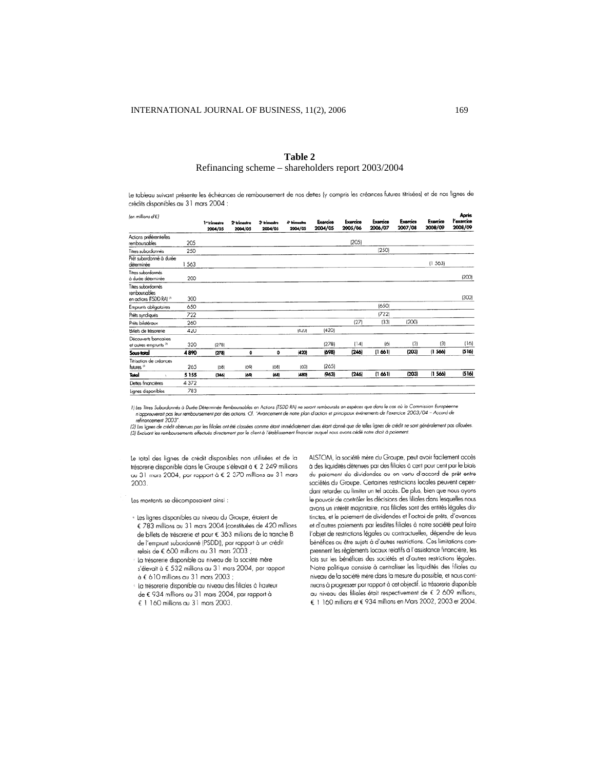# **Table 2** Refinancing scheme – shareholders report 2003/2004

Le tableau suivant présente les échéances de remboursement de nos dettes (y compris les créances futures titrisées) et de nos lignes de crédits disponibles au 31 mars 2004 :

| (en mitions d'€)                                                |       |                        |                                     |                                     |                                     |                     |                            |                     | <b>Exercice</b> | <b>Exercice</b> | <b>Après</b><br>l'exercice |
|-----------------------------------------------------------------|-------|------------------------|-------------------------------------|-------------------------------------|-------------------------------------|---------------------|----------------------------|---------------------|-----------------|-----------------|----------------------------|
|                                                                 |       | 1-trimestre<br>2004/05 | 2 <sup>+</sup> trimestre<br>2004/05 | 3 <sup>t</sup> trimestre<br>2004/05 | 4 <sup>e</sup> trimestre<br>2004/05 | Exercice<br>2004/05 | <b>Exercice</b><br>2005/06 | Exercice<br>2006/07 | 2007/08         | 2008/09         | 2008/09                    |
| Actions préférentielles<br>remboursables                        | 205   |                        |                                     |                                     |                                     |                     | (205)                      |                     |                 |                 |                            |
| Titres subordonnés                                              | 250   |                        |                                     |                                     |                                     |                     |                            | (250)               |                 |                 |                            |
| Prêt subordonné à durée<br>déterminée                           | 1563  |                        |                                     |                                     |                                     |                     |                            |                     |                 | (1, 563)        |                            |
| Titres subordonnés<br>à durée déterminée                        | 200   |                        |                                     |                                     |                                     |                     |                            |                     |                 |                 | (200)                      |
| Titres subordonnés<br>remboursables<br>en actions (TSDD RA) (1) | 300   |                        |                                     |                                     |                                     |                     |                            |                     |                 |                 | (300)                      |
| Emprunts obligataires                                           | 650   |                        |                                     |                                     |                                     |                     |                            | (650)               |                 |                 |                            |
| Prêts syndiqués                                                 | 722   |                        |                                     |                                     |                                     |                     |                            | (722)               |                 |                 |                            |
| Prêts bilatéraux                                                | 260   |                        |                                     |                                     |                                     |                     | (27)                       | (33)                | (200)           |                 |                            |
| Billets de trésorerie                                           | 420   |                        |                                     |                                     | (420)                               | (420)               |                            |                     |                 |                 |                            |
| Découverts bancaires<br>et autres emprunts <sup>121</sup>       | 320   | (278)                  |                                     |                                     |                                     | (278)               | [14]                       | $\{6\}$             | (3)             | (3)             | (16)                       |
| Sous-total                                                      | 4890  | (278)                  | $\bullet$                           | 0                                   | (420)                               | (698)               | (246)                      | (1 661)             | (203)           | (1, 566)        | (516)                      |
| Titrisation de créances<br>futures <sup>131</sup>               | 265   | [68]                   | (69)                                | 68                                  | [60]                                | (265)               |                            |                     |                 |                 |                            |
| Total                                                           | 5 155 | (346)                  | (69)                                | (68)                                | (480)                               | (963)               | (246)                      | (1 661)             | (203)           | (1 566)         | (516)                      |
| Dettes financières                                              | 4372  |                        |                                     |                                     |                                     |                     |                            |                     |                 |                 |                            |
| Lignes disponibles                                              | 783   |                        |                                     |                                     |                                     |                     |                            |                     |                 |                 |                            |

l) les Tires Subordonnés à Durée Déterminée Remboursables en Actions (TSDD RA) ne seront remboursés en espèces que dans le cas où la Commission Européenne<br>n'approuverait pas leur remboursement par des actions. Cf. "Avancem refinancement 2003\*

(2) les lignes de crédit obtenues par les filiales ont été classées comme étant immédiatement dues étant donné que de telles lignes de crédit ne sont généralement pas allouées. (3) Excluent les remboursements effectués directement par le client à l'établissement financier auquel nous avons cédé notre droit à paiemen

Le total des lignes de crédit disponibles non utilisées et de la trésorerie disponible dans le Groupe s'élevait à € 2 249 millions au 31 mars 2004, par rapport à € 2 370 millions au 31 mars 2003.

Les montants se décomposaient ainsi :

- \* les lignes disponibles au niveau du Groupe, étaient de € 783 millions au 31 mars 2004 (constituées de 420 millions de billets de trésorerie et pour € 363 millions de la tranche B de l'emprunt subordonné (PSDD)), par rapport à un crédit relais de € 600 millions au 31 mars 2003 ;
- La trésorerie disponible au niveau de la société mère s'élevait à € 532 millions au 31 mars 2004, par rapport à € 610 millions au 31 mars 2003 ;
- La trésorerie disponible au niveau des filiales à hauteur  $de \in 934$  millions au 31 mars 2004, par rapport à € 1 160 millions au 31 mars 2003.

ALSTOM, la société mère du Groupe, peut avoir facilement accès à des liquidités détenues par des filiales à cent pour cent par le biais du paiement de dividendes ou en vertu d'accord de prêt entre sociétés du Groupe. Certaines restrictions locales peuvent cependant retarder ou limiter un tel accès. De plus, bien que nous ayons le pouvoir de contrôler les décisions des filiales dans lesquelles nous avons un intérêt majoritaire, nos filiales sont des entités légales distinctes, et le paiement de dividendes et l'octroi de prêts, d'avances et d'autres paiements par lesdites filiales à notre société peut faire l'objet de restrictions légales ou contractuelles, dépendre de leurs bénéfices ou être sujets à d'autres restrictions. Ces limitations comprennent les règlements locaux relatifs à l'assistance financière, les lois sur les bénéfices des sociétés et d'autres restrictions légales. Notre politique consiste à centraliser les liquidités des filiales au niveau de la société mère dans la mesure du possible, et nous continuons à progresser par rapport à cet objectif. La trésorerie disponible au niveau des filiales était respectivement de € 2 609 millions, € 1 160 millions et € 934 millions en Mars 2002, 2003 et 2004.